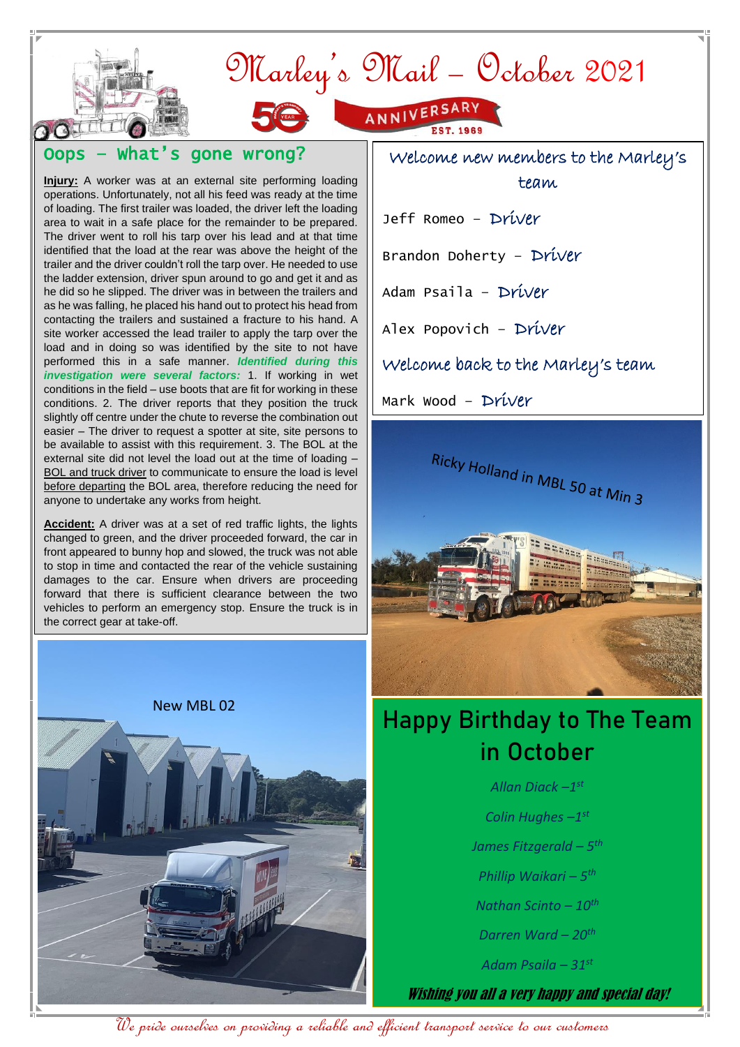

### Oops – What's gone wrong?

ł

 $\cap$   $\circ$ 

**Injury:** A worker was at an external site performing loading operations. Unfortunately, not all his feed was ready at the time of loading. The first trailer was loaded, the driver left the loading area to wait in a safe place for the remainder to be prepared. The driver went to roll his tarp over his lead and at that time identified that the load at the rear was above the height of the trailer and the driver couldn't roll the tarp over. He needed to use the ladder extension, driver spun around to go and get it and as he did so he slipped. The driver was in between the trailers and as he was falling, he placed his hand out to protect his head from contacting the trailers and sustained a fracture to his hand. A site worker accessed the lead trailer to apply the tarp over the load and in doing so was identified by the site to not have performed this in a safe manner. *Identified during this investigation were several factors:* 1. If working in wet conditions in the field – use boots that are fit for working in these conditions. 2. The driver reports that they position the truck slightly off centre under the chute to reverse the combination out easier – The driver to request a spotter at site, site persons to be available to assist with this requirement. 3. The BOL at the external site did not level the load out at the time of loading -BOL and truck driver to communicate to ensure the load is level before departing the BOL area, therefore reducing the need for anyone to undertake any works from height.

**Accident:** A driver was at a set of red traffic lights, the lights changed to green, and the driver proceeded forward, the car in front appeared to bunny hop and slowed, the truck was not able to stop in time and contacted the rear of the vehicle sustaining damages to the car. Ensure when drivers are proceeding forward that there is sufficient clearance between the two vehicles to perform an emergency stop. Ensure the truck is in the correct gear at take-off.



Welcome new members to the Marley's team

Jeff Romeo – Driver

Brandon Doherty – Driver

Adam Psaila – Driver

Alex Popovich – Driver

Welcome back to the Marley's team





## Happy Birthday to The Team in October

*Allan Diack –1 st Colin Hughes –1 st James Fitzgerald – 5 th Phillip Waikari – 5 th Nathan Scinto – 10th Darren Ward – 20th Adam Psaila – 31st*

Wishing you all a very happy and special day!

We pride ourselves on providing a reliable and efficient transport service to our customers